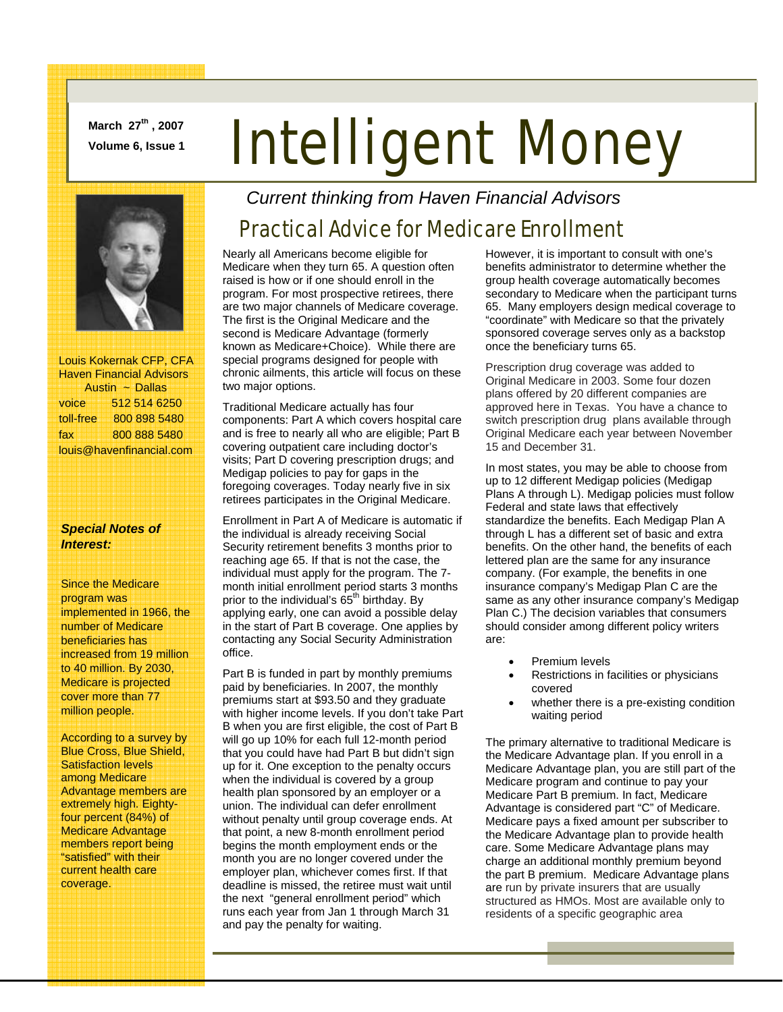**March 27th , 2007** 

# **March 27", 2007 Intelligent Money**



 Louis Kokernak CFP, CFA Haven Financial Advisors Austin ~ Dallas voice 512 514 6250 toll-free 800 898 5480 fax 800 888 5480 louis@havenfinancial.com

#### *Special Notes of Interest:*

Since the Medicare program was implemented in 1966, the number of Medicare beneficiaries has increased from 19 million to 40 million. By 2030, Medicare is projected cover more than 77 million people.

According to a survey by Blue Cross, Blue Shield, Satisfaction levels among Medicare Advantage members are extremely high. Eightyfour percent (84%) of Medicare Advantage members report being "satisfied" with their current health care coverage.

*Current thinking from Haven Financial Advisors* 

### Practical Advice for Medicare Enrollment

Nearly all Americans become eligible for Medicare when they turn 65. A question often raised is how or if one should enroll in the program. For most prospective retirees, there are two major channels of Medicare coverage. The first is the Original Medicare and the second is Medicare Advantage (formerly known as Medicare+Choice). While there are special programs designed for people with chronic ailments, this article will focus on these two major options.

Traditional Medicare actually has four components: Part A which covers hospital care and is free to nearly all who are eligible; Part B covering outpatient care including doctor's visits; Part D covering prescription drugs; and Medigap policies to pay for gaps in the foregoing coverages. Today nearly five in six retirees participates in the Original Medicare.

Enrollment in Part A of Medicare is automatic if the individual is already receiving Social Security retirement benefits 3 months prior to reaching age 65. If that is not the case, the individual must apply for the program. The 7 month initial enrollment period starts 3 months prior to the individual's 65<sup>th</sup> birthday. By applying early, one can avoid a possible delay in the start of Part B coverage. One applies by contacting any Social Security Administration office.

Part B is funded in part by monthly premiums paid by beneficiaries. In 2007, the monthly premiums start at \$93.50 and they graduate with higher income levels. If you don't take Part B when you are first eligible, the cost of Part B will go up 10% for each full 12-month period that you could have had Part B but didn't sign up for it. One exception to the penalty occurs when the individual is covered by a group health plan sponsored by an employer or a union. The individual can defer enrollment without penalty until group coverage ends. At that point, a new 8-month enrollment period begins the month employment ends or the month you are no longer covered under the employer plan, whichever comes first. If that deadline is missed, the retiree must wait until the next "general enrollment period" which runs each year from Jan 1 through March 31 and pay the penalty for waiting.

However, it is important to consult with one's benefits administrator to determine whether the group health coverage automatically becomes secondary to Medicare when the participant turns 65. Many employers design medical coverage to "coordinate" with Medicare so that the privately sponsored coverage serves only as a backstop once the beneficiary turns 65.

Prescription drug coverage was added to Original Medicare in 2003. Some four dozen plans offered by 20 different companies are approved here in Texas. You have a chance to switch prescription drug plans available through Original Medicare each year between November 15 and December 31.

In most states, you may be able to choose from up to 12 different Medigap policies (Medigap Plans A through L). Medigap policies must follow Federal and state laws that effectively standardize the benefits. Each Medigap Plan A through L has a different set of basic and extra benefits. On the other hand, the benefits of each lettered plan are the same for any insurance company. (For example, the benefits in one insurance company's Medigap Plan C are the same as any other insurance company's Medigap Plan C.) The decision variables that consumers should consider among different policy writers are:

- Premium levels
- Restrictions in facilities or physicians covered
- whether there is a pre-existing condition waiting period

The primary alternative to traditional Medicare is the Medicare Advantage plan. If you enroll in a Medicare Advantage plan, you are still part of the Medicare program and continue to pay your Medicare Part B premium. In fact, Medicare Advantage is considered part "C" of Medicare. Medicare pays a fixed amount per subscriber to the Medicare Advantage plan to provide health care. Some Medicare Advantage plans may charge an additional monthly premium beyond the part B premium. Medicare Advantage plans are run by private insurers that are usually structured as HMOs. Most are available only to residents of a specific geographic area